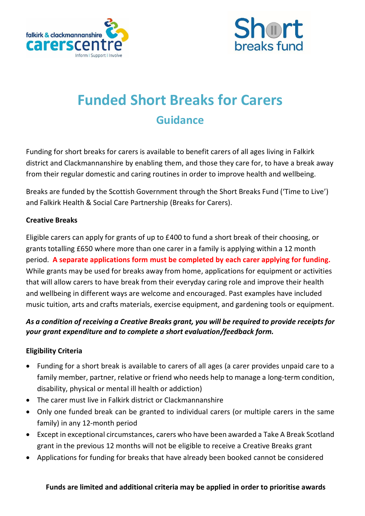



# **Funded Short Breaks for Carers Guidance**

Funding for short breaks for carers is available to benefit carers of all ages living in Falkirk district and Clackmannanshire by enabling them, and those they care for, to have a break away from their regular domestic and caring routines in order to improve health and wellbeing.

Breaks are funded by the Scottish Government through the Short Breaks Fund ('Time to Live') and Falkirk Health & Social Care Partnership (Breaks for Carers).

#### **Creative Breaks**

Eligible carers can apply for grants of up to £400 to fund a short break of their choosing, or grants totalling £650 where more than one carer in a family is applying within a 12 month period. **A separate applications form must be completed by each carer applying for funding.** While grants may be used for breaks away from home, applications for equipment or activities that will allow carers to have break from their everyday caring role and improve their health and wellbeing in different ways are welcome and encouraged. Past examples have included music tuition, arts and crafts materials, exercise equipment, and gardening tools or equipment.

## *As a condition of receiving a Creative Breaks grant, you will be required to provide receipts for your grant expenditure and to complete a short evaluation/feedback form.*

#### **Eligibility Criteria**

- Funding for a short break is available to carers of all ages (a carer provides unpaid care to a family member, partner, relative or friend who needs help to manage a long-term condition, disability, physical or mental ill health or addiction)
- The carer must live in Falkirk district or Clackmannanshire
- Only one funded break can be granted to individual carers (or multiple carers in the same family) in any 12-month period
- Except in exceptional circumstances, carers who have been awarded a Take A Break Scotland grant in the previous 12 months will not be eligible to receive a Creative Breaks grant
- Applications for funding for breaks that have already been booked cannot be considered